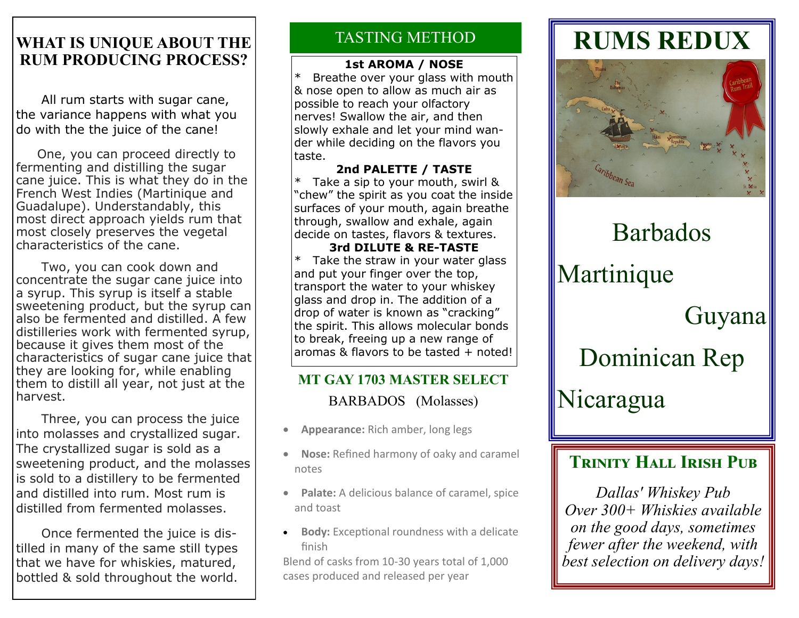## WHAT IS UNIQUE ABOUT THE **TASTING METHOD RUM PRODUCING PROCESS?**

 All rum starts with sugar cane, the variance happens with what you do with the the juice of the cane!

 One, you can proceed directly to fermenting and distilling the sugar cane juice. This is what they do in the French West Indies (Martinique and Guadalupe). Understandably, this most direct approach yields rum that most closely preserves the vegetal characteristics of the cane.

 Two, you can cook down and concentrate the sugar cane juice into a syrup. This syrup is itself a stable sweetening product, but the syrup can also be fermented and distilled. A few distilleries work with fermented syrup, because it gives them most of the characteristics of sugar cane juice that they are looking for, while enabling them to distill all year, not just at the harvest.

 Three, you can process the juice into molasses and crystallized sugar. The crystallized sugar is sold as a sweetening product, and the molasses is sold to a distillery to be fermented and distilled into rum. Most rum is distilled from fermented molasses.

 Once fermented the juice is distilled in many of the same still types that we have for whiskies, matured, bottled & sold throughout the world.

### **1st AROMA / NOSE**

Breathe over your glass with mouth & nose open to allow as much air as possible to reach your olfactory nerves! Swallow the air, and then slowly exhale and let your mind wander while deciding on the flavors you taste.

**2nd PALETTE / TASTE** \* Take a sip to your mouth, swirl & "chew" the spirit as you coat the inside surfaces of your mouth, again breathe through, swallow and exhale, again decide on tastes, flavors & textures. **3rd DILUTE & RE-TASTE**

\* Take the straw in your water glass and put your finger over the top, transport the water to your whiskey glass and drop in. The addition of a drop of water is known as "cracking" the spirit. This allows molecular bonds to break, freeing up a new range of aromas & flavors to be tasted + noted!

# **MT GAY 1703 MASTER SELECT**

BARBADOS (Molasses)

- **Appearance:** Rich amber, long legs
- **Nose:** Refined harmony of oaky and caramel notes
- **Palate:** A delicious balance of caramel, spice and toast
- **Body:** Exceptional roundness with a delicate finish

Blend of casks from 10-30 years total of 1,000 cases produced and released per year

# **RUMS REDUX**



# Barbados Martinique Guyana Dominican Rep Nicaragua

# **TRINITY HALL IRISH PUB**

*Dallas' Whiskey Pub Over 300+ Whiskies available on the good days, sometimes fewer after the weekend, with best selection on delivery days!*